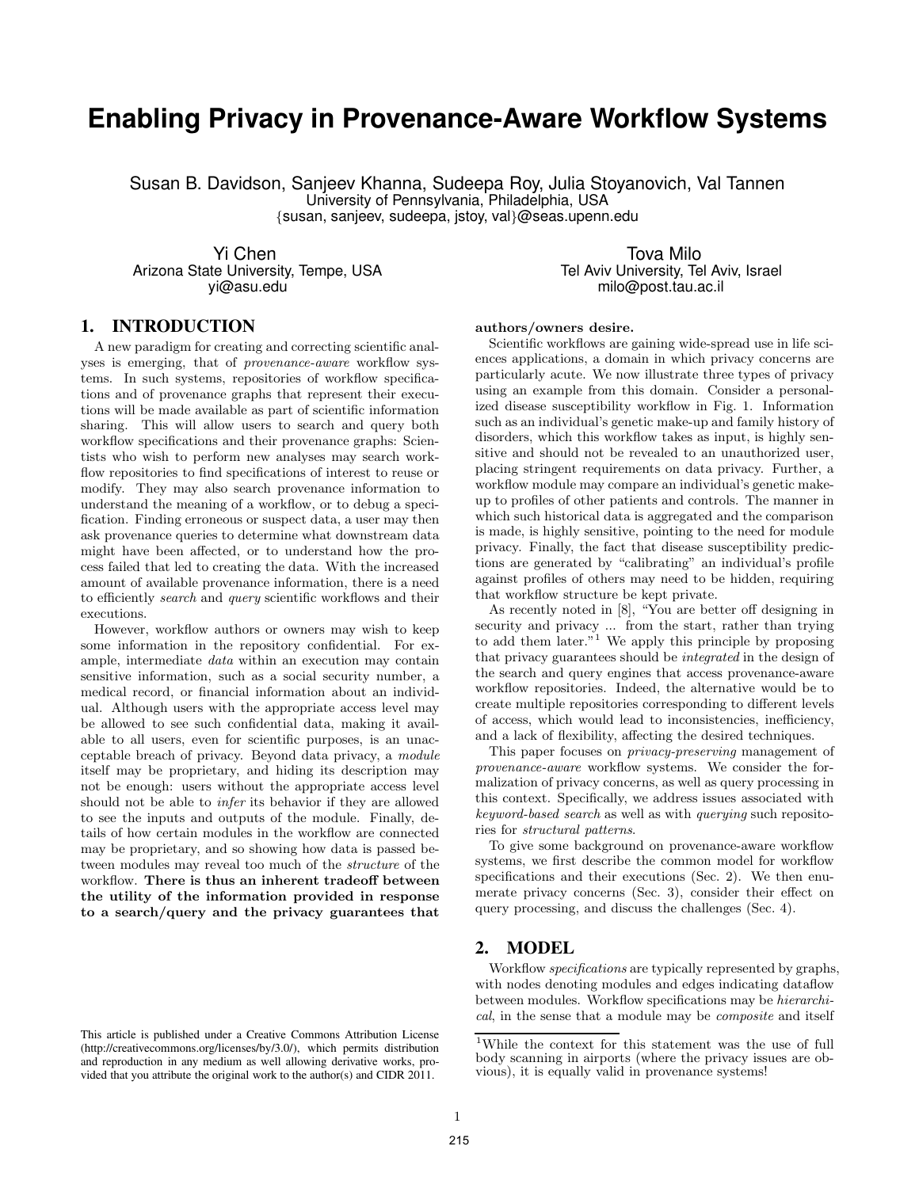# **Enabling Privacy in Provenance-Aware Workflow Systems**

Susan B. Davidson, Sanjeev Khanna, Sudeepa Roy, Julia Stoyanovich, Val Tannen University of Pennsylvania, Philadelphia, USA {susan, sanjeev, sudeepa, jstoy, val}@seas.upenn.edu

Arizona State University, Tempe, USA<br>vi@asu.edu

Yi Chen<br>Tel Aviv University, Tempe, USA and the Mille Chennic Tel Aviv University, Tel Aviv, Israel ( milo@post.tau.ac.il

# **1. INTRODUCTION**

A new paradigm for creating and correcting scientific analyses is emerging, that of *provenance-aware* workflow systems. In such systems, repositories of workflow specifications and of provenance graphs that represent their executions will be made available as part of scientific information sharing. This will allow users to search and query both workflow specifications and their provenance graphs: Scientists who wish to perform new analyses may search workflow repositories to find specifications of interest to reuse or modify. They may also search provenance information to understand the meaning of a workflow, or to debug a specification. Finding erroneous or suspect data, a user may then ask provenance queries to determine what downstream data might have been affected, or to understand how the process failed that led to creating the data. With the increased amount of available provenance information, there is a need to efficiently *search* and *query* scientific workflows and their executions.

However, workflow authors or owners may wish to keep some information in the repository confidential. For example, intermediate *data* within an execution may contain sensitive information, such as a social security number, a medical record, or financial information about an individual. Although users with the appropriate access level may be allowed to see such confidential data, making it available to all users, even for scientific purposes, is an unacceptable breach of privacy. Beyond data privacy, a *module* itself may be proprietary, and hiding its description may not be enough: users without the appropriate access level should not be able to *infer* its behavior if they are allowed to see the inputs and outputs of the module. Finally, details of how certain modules in the workflow are connected may be proprietary, and so showing how data is passed between modules may reveal too much of the *structure* of the workflow. There is thus an inherent tradeoff between the utility of the information provided in response to a search/query and the privacy guarantees that

#### authors/owners desire.

Scientific workflows are gaining wide-spread use in life sciences applications, a domain in which privacy concerns are particularly acute. We now illustrate three types of privacy using an example from this domain. Consider a personalized disease susceptibility workflow in Fig. 1. Information such as an individual's genetic make-up and family history of disorders, which this workflow takes as input, is highly sensitive and should not be revealed to an unauthorized user, placing stringent requirements on data privacy. Further, a workflow module may compare an individual's genetic makeup to profiles of other patients and controls. The manner in which such historical data is aggregated and the comparison is made, is highly sensitive, pointing to the need for module privacy. Finally, the fact that disease susceptibility predictions are generated by "calibrating" an individual's profile against profiles of others may need to be hidden, requiring that workflow structure be kept private.

As recently noted in [8], "You are better off designing in security and privacy ... from the start, rather than trying to add them later."<sup>1</sup> We apply this principle by proposing that privacy guarantees should be *integrated* in the design of the search and query engines that access provenance-aware workflow repositories. Indeed, the alternative would be to create multiple repositories corresponding to different levels of access, which would lead to inconsistencies, inefficiency, and a lack of flexibility, affecting the desired techniques.

This paper focuses on *privacy-preserving* management of *provenance-aware* workflow systems. We consider the formalization of privacy concerns, as well as query processing in this context. Specifically, we address issues associated with *keyword-based search* as well as with *querying* such repositories for *structural patterns*.

To give some background on provenance-aware workflow systems, we first describe the common model for workflow specifications and their executions (Sec. 2). We then enumerate privacy concerns (Sec. 3), consider their effect on query processing, and discuss the challenges (Sec. 4).

#### **2. MODEL**

Workflow *specifications* are typically represented by graphs, with nodes denoting modules and edges indicating dataflow between modules. Workflow specifications may be *hierarchical*, in the sense that a module may be *composite* and itself

This article is published under a Creative Commons Attribution License (http://creativecommons.org/licenses/by/3.0/), which permits distribution and reproduction in any medium as well allowing derivative works, provided that you attribute the original work to the author(s) and CIDR 2011.

<sup>1</sup>While the context for this statement was the use of full body scanning in airports (where the privacy issues are obvious), it is equally valid in provenance systems!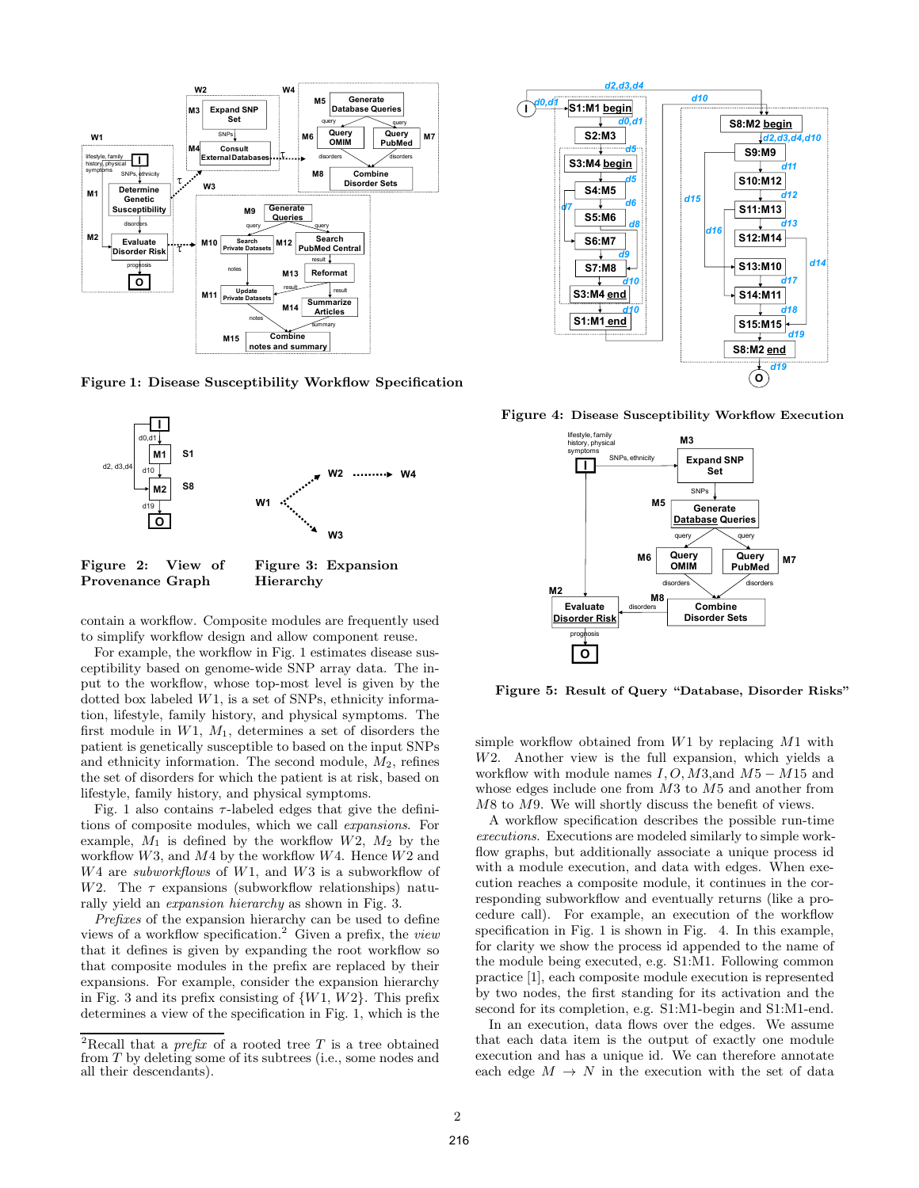

Figure 1: Disease Susceptibility Workflow Specification



Figure 2: View of Provenance Graph Hierarchy

contain a workflow. Composite modules are frequently used to simplify workflow design and allow component reuse.

For example, the workflow in Fig. 1 estimates disease susceptibility based on genome-wide SNP array data. The input to the workflow, whose top-most level is given by the dotted box labeled W1, is a set of SNPs, ethnicity information, lifestyle, family history, and physical symptoms. The first module in  $W1$ ,  $M_1$ , determines a set of disorders the patient is genetically susceptible to based on the input SNPs and ethnicity information. The second module,  $M_2$ , refines the set of disorders for which the patient is at risk, based on lifestyle, family history, and physical symptoms.

Fig. 1 also contains  $\tau$ -labeled edges that give the definitions of composite modules, which we call *expansions*. For example,  $M_1$  is defined by the workflow  $W_1$ ,  $M_2$  by the workflow  $W3$ , and  $M4$  by the workflow  $W4$ . Hence  $W2$  and W4 are *subworkflows* of W1, and W3 is a subworkflow of W2. The  $\tau$  expansions (subworkflow relationships) naturally yield an *expansion hierarchy* as shown in Fig. 3.

*Prefixes* of the expansion hierarchy can be used to define views of a workflow specification.<sup>2</sup> Given a prefix, the *view* that it defines is given by expanding the root workflow so that composite modules in the prefix are replaced by their expansions. For example, consider the expansion hierarchy in Fig. 3 and its prefix consisting of  $\{W_1, W_2\}$ . This prefix determines a view of the specification in Fig. 1, which is the



Figure 4: Disease Susceptibility Workflow Execution



Figure 5: Result of Query "Database, Disorder Risks"

simple workflow obtained from W1 by replacing M1 with W2. Another view is the full expansion, which yields a workflow with module names  $I, O, M3$ , and  $M5 - M15$  and whose edges include one from M3 to M5 and another from M8 to M9. We will shortly discuss the benefit of views.

A workflow specification describes the possible run-time *executions*. Executions are modeled similarly to simple workflow graphs, but additionally associate a unique process id with a module execution, and data with edges. When execution reaches a composite module, it continues in the corresponding subworkflow and eventually returns (like a procedure call). For example, an execution of the workflow specification in Fig. 1 is shown in Fig. 4. In this example, for clarity we show the process id appended to the name of the module being executed, e.g. S1:M1. Following common practice [1], each composite module execution is represented by two nodes, the first standing for its activation and the second for its completion, e.g. S1:M1-begin and S1:M1-end.

In an execution, data flows over the edges. We assume that each data item is the output of exactly one module execution and has a unique id. We can therefore annotate each edge  $M \to N$  in the execution with the set of data

<sup>&</sup>lt;sup>2</sup>Recall that a *prefix* of a rooted tree  $T$  is a tree obtained from T by deleting some of its subtrees (i.e., some nodes and all their descendants).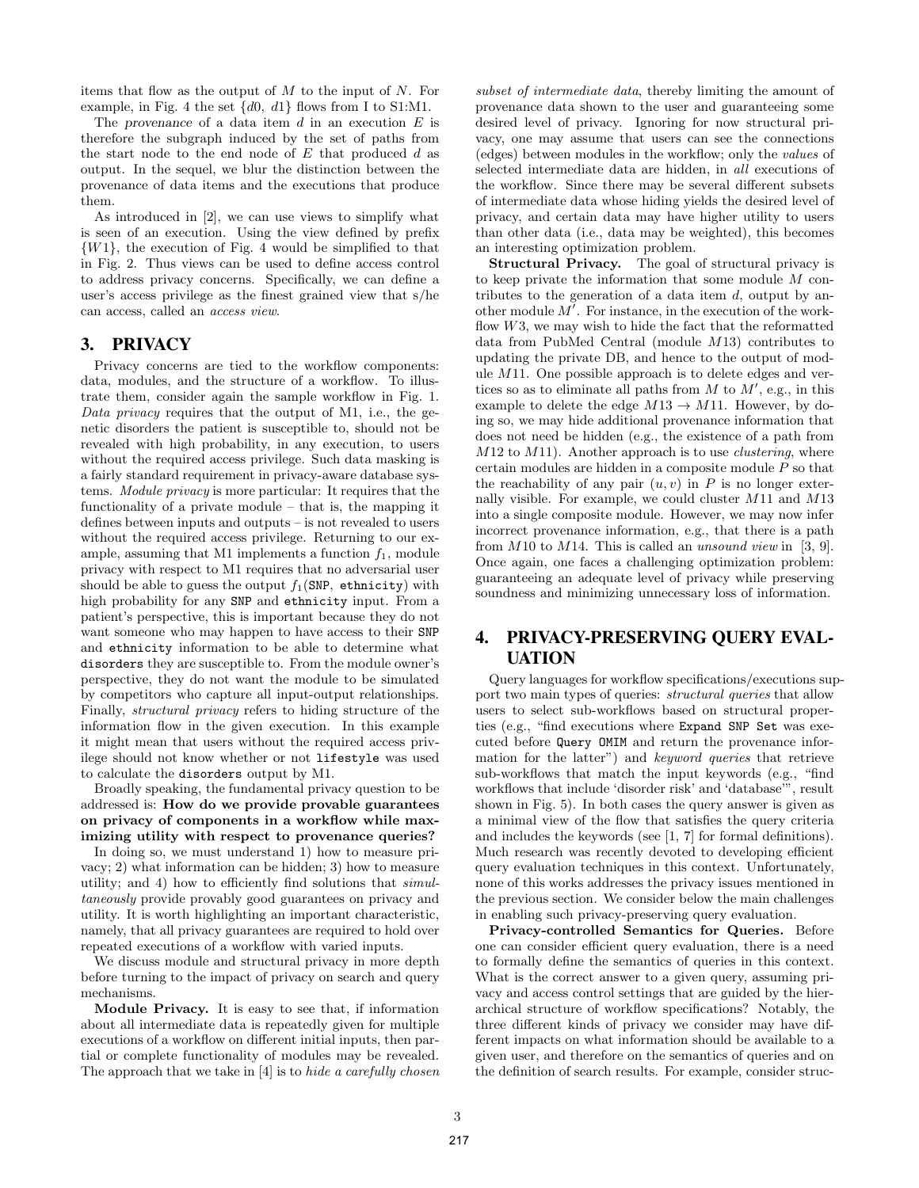items that flow as the output of  $M$  to the input of  $N$ . For example, in Fig. 4 the set  $\{d0, d1\}$  flows from I to S1:M1.

The provenance of a data item  $d$  in an execution  $E$  is therefore the subgraph induced by the set of paths from the start node to the end node of  $E$  that produced  $d$  as output. In the sequel, we blur the distinction between the provenance of data items and the executions that produce them.

As introduced in [2], we can use views to simplify what is seen of an execution. Using the view defined by prefix  $\{W_1\}$ , the execution of Fig. 4 would be simplified to that in Fig. 2. Thus views can be used to define access control to address privacy concerns. Specifically, we can define a user's access privilege as the finest grained view that s/he can access, called an *access view*.

# **3. PRIVACY**

Privacy concerns are tied to the workflow components: data, modules, and the structure of a workflow. To illustrate them, consider again the sample workflow in Fig. 1. *Data privacy* requires that the output of M1, i.e., the genetic disorders the patient is susceptible to, should not be revealed with high probability, in any execution, to users without the required access privilege. Such data masking is a fairly standard requirement in privacy-aware database systems. *Module privacy* is more particular: It requires that the functionality of a private module – that is, the mapping it defines between inputs and outputs – is not revealed to users without the required access privilege. Returning to our example, assuming that M1 implements a function  $f_1$ , module privacy with respect to M1 requires that no adversarial user should be able to guess the output  $f_1(SNP,$  ethnicity) with high probability for any SNP and ethnicity input. From a patient's perspective, this is important because they do not want someone who may happen to have access to their SNP and ethnicity information to be able to determine what disorders they are susceptible to. From the module owner's perspective, they do not want the module to be simulated by competitors who capture all input-output relationships. Finally, *structural privacy* refers to hiding structure of the information flow in the given execution. In this example it might mean that users without the required access privilege should not know whether or not lifestyle was used to calculate the disorders output by M1.

Broadly speaking, the fundamental privacy question to be addressed is: How do we provide provable guarantees on privacy of components in a workflow while maximizing utility with respect to provenance queries?

In doing so, we must understand 1) how to measure privacy; 2) what information can be hidden; 3) how to measure utility; and 4) how to efficiently find solutions that *simultaneously* provide provably good guarantees on privacy and utility. It is worth highlighting an important characteristic, namely, that all privacy guarantees are required to hold over repeated executions of a workflow with varied inputs.

We discuss module and structural privacy in more depth before turning to the impact of privacy on search and query mechanisms.

Module Privacy. It is easy to see that, if information about all intermediate data is repeatedly given for multiple executions of a workflow on different initial inputs, then partial or complete functionality of modules may be revealed. The approach that we take in [4] is to *hide a carefully chosen*

*subset of intermediate data*, thereby limiting the amount of provenance data shown to the user and guaranteeing some desired level of privacy. Ignoring for now structural privacy, one may assume that users can see the connections (edges) between modules in the workflow; only the *values* of selected intermediate data are hidden, in *all* executions of the workflow. Since there may be several different subsets of intermediate data whose hiding yields the desired level of privacy, and certain data may have higher utility to users than other data (i.e., data may be weighted), this becomes an interesting optimization problem.

Structural Privacy. The goal of structural privacy is to keep private the information that some module M contributes to the generation of a data item  $d$ , output by another module  $M'$ . For instance, in the execution of the workflow  $W3$ , we may wish to hide the fact that the reformatted data from PubMed Central (module M13) contributes to updating the private DB, and hence to the output of module M11. One possible approach is to delete edges and vertices so as to eliminate all paths from  $M$  to  $M'$ , e.g., in this example to delete the edge  $M13 \rightarrow M11$ . However, by doing so, we may hide additional provenance information that does not need be hidden (e.g., the existence of a path from M12 to M11). Another approach is to use *clustering*, where certain modules are hidden in a composite module P so that the reachability of any pair  $(u, v)$  in P is no longer externally visible. For example, we could cluster M11 and M13 into a single composite module. However, we may now infer incorrect provenance information, e.g., that there is a path from M10 to M14. This is called an *unsound view* in [3, 9]. Once again, one faces a challenging optimization problem: guaranteeing an adequate level of privacy while preserving soundness and minimizing unnecessary loss of information.

# **4. PRIVACY-PRESERVING QUERY EVAL-UATION**

Query languages for workflow specifications/executions support two main types of queries: *structural queries* that allow users to select sub-workflows based on structural properties (e.g., "find executions where Expand SNP Set was executed before Query OMIM and return the provenance information for the latter") and *keyword queries* that retrieve sub-workflows that match the input keywords (e.g., "find workflows that include 'disorder risk' and 'database'", result shown in Fig. 5). In both cases the query answer is given as a minimal view of the flow that satisfies the query criteria and includes the keywords (see [1, 7] for formal definitions). Much research was recently devoted to developing efficient query evaluation techniques in this context. Unfortunately, none of this works addresses the privacy issues mentioned in the previous section. We consider below the main challenges in enabling such privacy-preserving query evaluation.

Privacy-controlled Semantics for Queries. Before one can consider efficient query evaluation, there is a need to formally define the semantics of queries in this context. What is the correct answer to a given query, assuming privacy and access control settings that are guided by the hierarchical structure of workflow specifications? Notably, the three different kinds of privacy we consider may have different impacts on what information should be available to a given user, and therefore on the semantics of queries and on the definition of search results. For example, consider struc